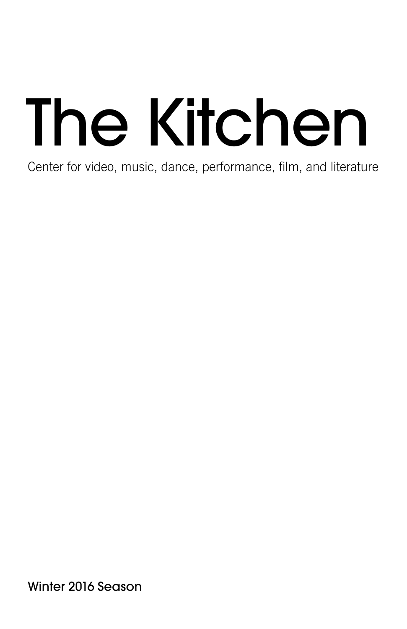# The Kitchen

Center for video, music, dance, performance, film, and literature

Winter 2016 Season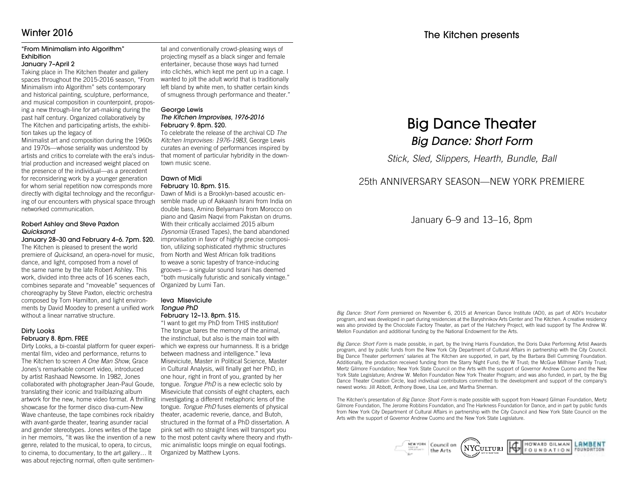# Winter 2016

### "From Minimalism into Algorithm" **Exhibition**

### January 7–April 2

Taking place in The Kitchen theater and gallery spaces throughout the 2015-2016 season, "From Minimalism into Algorithm" sets contemporary and historical painting, sculpture, performance, and musical composition in counterpoint, proposing a new through-line for art-making during the past half century. Organized collaboratively by The Kitchen and participating artists, the exhibition takes up the legacy of

Minimalist art and composition during the 1960s and 1970s—whose seriality was understood by artists and critics to correlate with the era's industrial production and increased weight placed on the presence of the individual—as a precedent for reconsidering work by a younger generation for whom serial repetition now corresponds more directly with digital technology and the reconfiguring of our encounters with physical space through networked communication.

### Robert Ashley and Steve Paxton *Quicksand*

January 28–30 and February 4–6. 7pm. \$20. The Kitchen is pleased to present the world premiere of *Quicksand*, an opera-novel for music, dance, and light, composed from a novel of the same name by the late Robert Ashley. This work, divided into three acts of 16 scenes each, combines separate and "moveable" sequences of choreography by Steve Paxton, electric orchestra composed by Tom Hamilton, and light environments by David Moodey to present a unified work without a linear narrative structure.

### Dirty Looks February 8. 8pm. FREE

Dirty Looks, a bi-coastal platform for queer experimental film, video and performance, returns to The Kitchen to screen *A One Man Show*, Grace Jones's remarkable concert video, introduced by artist Rashaad Newsome. In 1982, Jones collaborated with photographer Jean-Paul Goude, translating their iconic and trailblazing album artwork for the new, home video format. A thrilling investigating a different metaphoric lens of the showcase for the former disco diva-cum-New Wave chanteuse, the tape combines rock ribaldry with avant-garde theater, tearing asunder racial and gender stereotypes. Jones writes of the tape in her memoirs, "It was like the invention of a new genre, related to the musical, to opera, to circus, to cinema, to documentary, to the art gallery… It was about rejecting normal, often quite sentimen-

tal and conventionally crowd-pleasing ways of projecting myself as a black singer and female entertainer, because those ways had turned into clichés, which kept me pent up in a cage. I wanted to jolt the adult world that is traditionally left bland by white men, to shatter certain kinds of smugness through performance and theater."

### George Lewis *The Kitchen Improvises, 1976-2016* February 9. 8pm. \$20.

To celebrate the release of the archival CD *The Kitchen Improvises: 1976-1983*, George Lewis curates an evening of performances inspired by that moment of particular hybridity in the downtown music scene.

### Dawn of Midi February 10. 8pm. \$15.

Dawn of Midi is a Brooklyn-based acoustic ensemble made up of Aakaash Israni from India on double bass, Amino Belyamani from Morocco on piano and Qasim Naqvi from Pakistan on drums. With their critically acclaimed 2015 album *Dysnomia* (Erased Tapes), the band abandoned improvisation in favor of highly precise composition, utilizing sophisticated rhythmic structures from North and West African folk traditions to weave a sonic tapestry of trance-inducing grooves— a singular sound Israni has deemed "both musically futuristic and sonically vintage." Organized by Lumi Tan.

### Ieva Miseviciute *Tongue PhD* February 12–13. 8pm. \$15.

"I want to get my PhD from THIS institution! The tongue bares the memory of the animal, the instinctual, but also is the main tool with which we express our humanness. It is a bridge between madness and intelligence." Ieva Miseviciute, Master in Political Science, Master in Cultural Analysis, will finally get her PhD, in one hour, right in front of you, granted by her tongue. *Tongue PhD* is a new eclectic solo by Miseviciute that consists of eight chapters, each tongue. *Tongue PhD* fuses elements of physical theater, academic reverie, dance, and Butoh, structured in the format of a PhD dissertation. A pink set with no straight lines will transport you to the most potent cavity where theory and rhythmic animalistic loops mingle on equal footings. Organized by Matthew Lyons.

# Big Dance Theater *Big Dance: Short Form*

*Stick, Sled, Slippers, Hearth, Bundle, Ball*

# 25th ANNIVERSARY SEASON—NEW YORK PREMIERE

# January 6–9 and 13–16, 8pm

*Big Dance: Short Form* premiered on November 6, 2015 at American Dance Institute (ADI), as part of ADI's Incubator program, and was developed in part during residencies at the Baryshnikov Arts Center and The Kitchen. A creative residency was also provided by the Chocolate Factory Theater, as part of the Hatchery Project, with lead support by The Andrew W. Mellon Foundation and additional funding by the National Endowment for the Arts.

*Big Dance: Short Form* is made possible, in part, by the Irving Harris Foundation, the Doris Duke Performing Artist Awards program, and by public funds from the New York City Department of Cultural Affairs in partnership with the City Council. Big Dance Theater performers' salaries at The Kitchen are supported, in part, by the Barbara Bell Cumming Foundation. Additionally, the production received funding from the Starry Night Fund; the W Trust; the McGue Millhiser Family Trust; Mertz Gilmore Foundation; New York State Council on the Arts with the support of Governor Andrew Cuomo and the New York State Legislature; Andrew W. Mellon Foundation New York Theater Program; and was also funded, in part, by the Big Dance Theater Creation Circle, lead individual contributors committed to the development and support of the company's newest works: Jill Abbott, Anthony Bowe, Lisa Lee, and Martha Sherman.

The Kitchen's presentation of *Big Dance: Short Form* is made possible with support from Howard Gilman Foundation, Mertz Gilmore Foundation, The Jerome Robbins Foundation, and The Harkness Foundation for Dance, and in part by public funds from New York City Department of Cultural Affairs in partnership with the City Council and New York State Council on the Arts with the support of Governor Andrew Cuomo and the New York State Legislature.

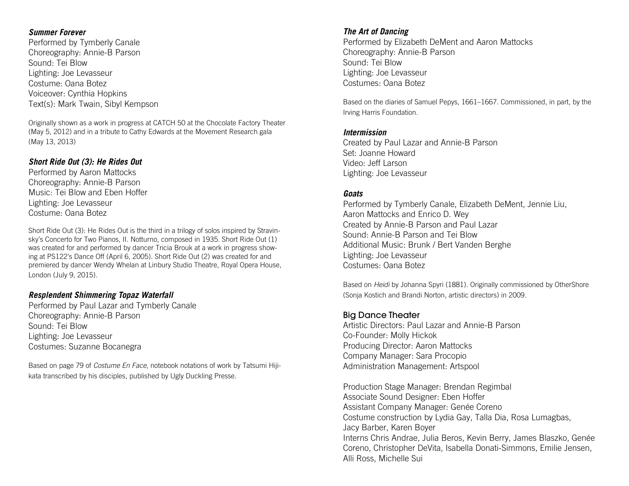# *Summer Forever*

Performed by Tymberly Canale Choreography: Annie-B Parson Sound: Tei Blow Lighting: Joe Levasseur Costume: Oana Botez Voiceover: Cynthia Hopkins Text(s): Mark Twain, Sibyl Kempson

Originally shown as a work in progress at CATCH 50 at the Chocolate Factory Theater (May 5, 2012) and in a tribute to Cathy Edwards at the Movement Research gala (May 13, 2013)

# *Short Ride Out (3): He Rides Out*

Performed by Aaron Mattocks Choreography: Annie-B Parson Music: Tei Blow and Eben Hoffer Lighting: Joe Levasseur Costume: Oana Botez

Short Ride Out (3): He Rides Out is the third in a trilogy of solos inspired by Stravinsky's Concerto for Two Pianos, II. Notturno, composed in 1935. Short Ride Out (1) was created for and performed by dancer Tricia Brouk at a work in progress showing at PS122's Dance Off (April 6, 2005). Short Ride Out (2) was created for and premiered by dancer Wendy Whelan at Linbury Studio Theatre, Royal Opera House, London (July 9, 2015).

# *Resplendent Shimmering Topaz Waterfall*

Performed by Paul Lazar and Tymberly Canale Choreography: Annie-B Parson Sound: Tei Blow Lighting: Joe Levasseur Costumes: Suzanne Bocanegra

Based on page 79 of *Costume En Face*, notebook notations of work by Tatsumi Hijikata transcribed by his disciples, published by Ugly Duckling Presse.

# *The Art of Dancing*

Performed by Elizabeth DeMent and Aaron Mattocks Choreography: Annie-B Parson Sound: Tei Blow Lighting: Joe Levasseur Costumes: Oana Botez

Based on the diaries of Samuel Pepys, 1661–1667. Commissioned, in part, by the Irving Harris Foundation.

# *Intermission*

Created by Paul Lazar and Annie-B Parson Set: Joanne Howard Video: Jeff Larson Lighting: Joe Levasseur

# *Goats*

Performed by Tymberly Canale, Elizabeth DeMent, Jennie Liu, Aaron Mattocks and Enrico D. Wey Created by Annie-B Parson and Paul Lazar Sound: Annie-B Parson and Tei Blow Additional Music: Brunk / Bert Vanden Berghe Lighting: Joe Levasseur Costumes: Oana Botez

Based on *Heidi* by Johanna Spyri (1881). Originally commissioned by OtherShore (Sonja Kostich and Brandi Norton, artistic directors) in 2009.

# Big Dance Theater

Artistic Directors: Paul Lazar and Annie-B Parson Co-Founder: Molly Hickok Producing Director: Aaron Mattocks Company Manager: Sara Procopio Administration Management: Artspool

Production Stage Manager: Brendan Regimbal Associate Sound Designer: Eben Hoffer Assistant Company Manager: Genée Coreno Costume construction by Lydia Gay, Talla Dia, Rosa Lumagbas, Jacy Barber, Karen Boyer Interns Chris Andrae, Julia Beros, Kevin Berry, James Blaszko, Genée Coreno, Christopher DeVita, Isabella Donati-Simmons, Emilie Jensen, Alli Ross, Michelle Sui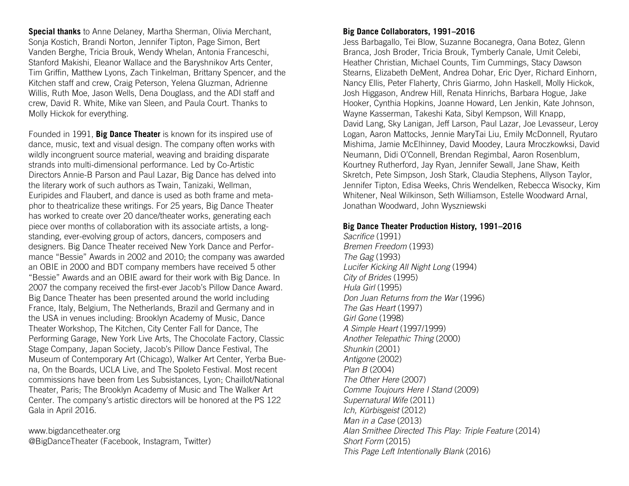**Special thanks** to Anne Delaney, Martha Sherman, Olivia Merchant, Sonja Kostich, Brandi Norton, Jennifer Tipton, Page Simon, Bert Vanden Berghe, Tricia Brouk, Wendy Whelan, Antonia Franceschi, Stanford Makishi, Eleanor Wallace and the Baryshnikov Arts Center, Tim Griffin, Matthew Lyons, Zach Tinkelman, Brittany Spencer, and the Kitchen staff and crew, Craig Peterson, Yelena Gluzman, Adrienne Willis, Ruth Moe, Jason Wells, Dena Douglass, and the ADI staff and crew, David R. White, Mike van Sleen, and Paula Court. Thanks to Molly Hickok for everything.

Founded in 1991, **Big Dance Theater** is known for its inspired use of dance, music, text and visual design. The company often works with wildly incongruent source material, weaving and braiding disparate strands into multi-dimensional performance. Led by Co-Artistic Directors Annie-B Parson and Paul Lazar, Big Dance has delved into the literary work of such authors as Twain, Tanizaki, Wellman, Euripides and Flaubert, and dance is used as both frame and metaphor to theatricalize these writings. For 25 years, Big Dance Theater has worked to create over 20 dance/theater works, generating each piece over months of collaboration with its associate artists, a longstanding, ever-evolving group of actors, dancers, composers and designers. Big Dance Theater received New York Dance and Performance "Bessie" Awards in 2002 and 2010; the company was awarded an OBIE in 2000 and BDT company members have received 5 other "Bessie" Awards and an OBIE award for their work with Big Dance. In 2007 the company received the first-ever Jacob's Pillow Dance Award. Big Dance Theater has been presented around the world including France, Italy, Belgium, The Netherlands, Brazil and Germany and in the USA in venues including: Brooklyn Academy of Music, Dance Theater Workshop, The Kitchen, City Center Fall for Dance, The Performing Garage, New York Live Arts, The Chocolate Factory, Classic Stage Company, Japan Society, Jacob's Pillow Dance Festival, The Museum of Contemporary Art (Chicago), Walker Art Center, Yerba Buena, On the Boards, UCLA Live, and The Spoleto Festival. Most recent commissions have been from Les Subsistances, Lyon; Chaillot/National Theater, Paris; The Brooklyn Academy of Music and The Walker Art Center. The company's artistic directors will be honored at the PS 122 Gala in April 2016.

www.bigdancetheater.org @BigDanceTheater (Facebook, Instagram, Twitter)

# **Big Dance Collaborators, 1991–2016**

Jess Barbagallo, Tei Blow, Suzanne Bocanegra, Oana Botez, Glenn Branca, Josh Broder, Tricia Brouk, Tymberly Canale, Umit Celebi, Heather Christian, Michael Counts, Tim Cummings, Stacy Dawson Stearns, Elizabeth DeMent, Andrea Dohar, Eric Dyer, Richard Einhorn, Nancy Ellis, Peter Flaherty, Chris Giarmo, John Haskell, Molly Hickok, Josh Higgason, Andrew Hill, Renata Hinrichs, Barbara Hogue, Jake Hooker, Cynthia Hopkins, Joanne Howard, Len Jenkin, Kate Johnson, Wayne Kasserman, Takeshi Kata, Sibyl Kempson, Will Knapp, David Lang, Sky Lanigan, Jeff Larson, Paul Lazar, Joe Levasseur, Leroy Logan, Aaron Mattocks, Jennie MaryTai Liu, Emily McDonnell, Ryutaro Mishima, Jamie McElhinney, David Moodey, Laura Mroczkowksi, David Neumann, Didi O'Connell, Brendan Regimbal, Aaron Rosenblum, Kourtney Rutherford, Jay Ryan, Jennifer Sewall, Jane Shaw, Keith Skretch, Pete Simpson, Josh Stark, Claudia Stephens, Allyson Taylor, Jennifer Tipton, Edisa Weeks, Chris Wendelken, Rebecca Wisocky, Kim Whitener, Neal Wilkinson, Seth Williamson, Estelle Woodward Arnal, Jonathan Woodward, John Wyszniewski

# **Big Dance Theater Production History, 1991–2016**

Sacrifice (1991) *Bremen Freedom* (1993) *The Gag* (1993) *Lucifer Kicking All Night Long* (1994) *City of Brides* (1995) *Hula Girl* (1995) *Don Juan Returns from the War* (1996) *The Gas Heart* (1997) *Girl Gone* (1998) *A Simple Heart* (1997/1999) *Another Telepathic Thing* (2000) *Shunkin* (2001) *Antigone* (2002) *Plan B* (2004) *The Other Here* (2007) *Comme Toujours Here I Stand* (2009) *Supernatural Wife* (2011) *Ich, Kürbisgeist* (2012) *Man in a Case* (2013) *Alan Smithee Directed This Play: Triple Feature* (2014) *Short Form* (2015) *This Page Left Intentionally Blank* (2016)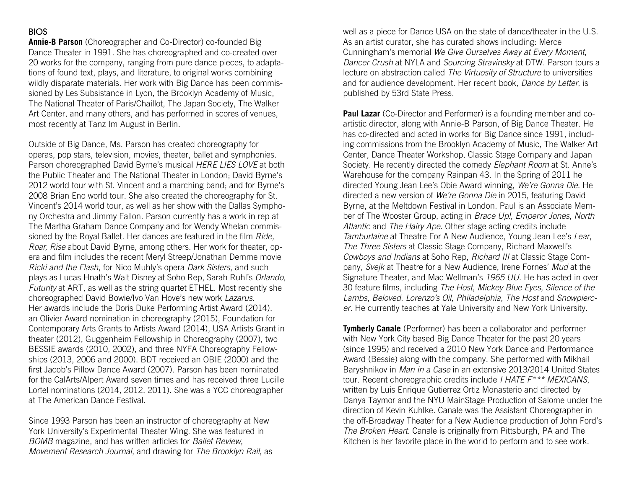# BIOS

**Annie-B Parson** (Choreographer and Co-Director) co-founded Big Dance Theater in 1991. She has choreographed and co-created over 20 works for the company, ranging from pure dance pieces, to adaptations of found text, plays, and literature, to original works combining wildly disparate materials. Her work with Big Dance has been commissioned by Les Subsistance in Lyon, the Brooklyn Academy of Music, The National Theater of Paris/Chaillot, The Japan Society, The Walker Art Center, and many others, and has performed in scores of venues, most recently at Tanz Im August in Berlin.

Outside of Big Dance, Ms. Parson has created choreography for operas, pop stars, television, movies, theater, ballet and symphonies. Parson choreographed David Byrne's musical *HERE LIES LOVE* at both the Public Theater and The National Theater in London; David Byrne's 2012 world tour with St. Vincent and a marching band; and for Byrne's 2008 Brian Eno world tour. She also created the choreography for St. Vincent's 2014 world tour, as well as her show with the Dallas Symphony Orchestra and Jimmy Fallon. Parson currently has a work in rep at The Martha Graham Dance Company and for Wendy Whelan commissioned by the Royal Ballet. Her dances are featured in the film *Ride, Roar, Rise* about David Byrne, among others. Her work for theater, opera and film includes the recent Meryl Streep/Jonathan Demme movie *Ricki and the Flash*, for Nico Muhly's opera *Dark Sisters*, and such plays as Lucas Hnath's Walt Disney at Soho Rep, Sarah Ruhl's *Orlando, Futurity* at ART, as well as the string quartet ETHEL. Most recently she choreographed David Bowie/Ivo Van Hove's new work *Lazarus*. Her awards include the Doris Duke Performing Artist Award (2014), an Olivier Award nomination in choreography (2015), Foundation for Contemporary Arts Grants to Artists Award (2014), USA Artists Grant in theater (2012), Guggenheim Fellowship in Choreography (2007), two BESSIE awards (2010, 2002), and three NYFA Choreography Fellowships (2013, 2006 and 2000). BDT received an OBIE (2000) and the first Jacob's Pillow Dance Award (2007). Parson has been nominated for the CalArts/Alpert Award seven times and has received three Lucille Lortel nominations (2014, 2012, 2011). She was a YCC choreographer at The American Dance Festival.

Since 1993 Parson has been an instructor of choreography at New York University's Experimental Theater Wing. She was featured in *BOMB* magazine, and has written articles for *Ballet Review*, *Movement Research Journal*, and drawing for *The Brooklyn Rail*, as

well as a piece for Dance USA on the state of dance/theater in the U.S. As an artist curator, she has curated shows including: Merce Cunningham's memorial *We Give Ourselves Away at Every Moment*, *Dancer Crush* at NYLA and *Sourcing Stravinsky* at DTW. Parson tours a lecture on abstraction called *The Virtuosity of Structure* to universities and for audience development. Her recent book, *Dance by Letter*, is published by 53rd State Press.

**Paul Lazar** (Co-Director and Performer) is a founding member and coartistic director, along with Annie-B Parson, of Big Dance Theater. He has co-directed and acted in works for Big Dance since 1991, including commissions from the Brooklyn Academy of Music, The Walker Art Center, Dance Theater Workshop, Classic Stage Company and Japan Society. He recently directed the comedy *Elephant Room* at St. Anne's Warehouse for the company Rainpan 43. In the Spring of 2011 he directed Young Jean Lee's Obie Award winning, *We're Gonna Die*. He directed a new version of *We're Gonna Die* in 2015, featuring David Byrne, at the Meltdown Festival in London. Paul is an Associate Member of The Wooster Group, acting in *Brace Up!*, *Emperor Jones*, *North Atlantic* and *The Hairy Ape*. Other stage acting credits include *Tamburlaine* at Theatre For A New Audience, Young Jean Lee's *Lear*, *The Three Sisters* at Classic Stage Company, Richard Maxwell's *Cowboys and Indians* at Soho Rep, *Richard III* at Classic Stage Company, *Svejk* at Theatre for a New Audience, Irene Fornes' *Mud* at the Signature Theater, and Mac Wellman's *1965 UU*. He has acted in over 30 feature films, including *The Host*, *Mickey Blue Eyes*, *Silence of the Lambs*, *Beloved*, *Lorenzo's Oil*, *Philadelphia*, *The Host* and *Snowpiercer*. He currently teaches at Yale University and New York University.

**Tymberly Canale** (Performer) has been a collaborator and performer with New York City based Big Dance Theater for the past 20 years (since 1995) and received a 2010 New York Dance and Performance Award (Bessie) along with the company. She performed with Mikhail Baryshnikov in *Man in a Case* in an extensive 2013/2014 United States tour. Recent choreographic credits include *I HATE F\*\*\* MEXICANS*, written by Luis Enrique Gutierrez Ortiz Monasterio and directed by Danya Taymor and the NYU MainStage Production of Salome under the direction of Kevin Kuhlke. Canale was the Assistant Choreographer in the off-Broadway Theater for a New Audience production of John Ford's *The Broken Heart*. Canale is originally from Pittsburgh, PA and The Kitchen is her favorite place in the world to perform and to see work.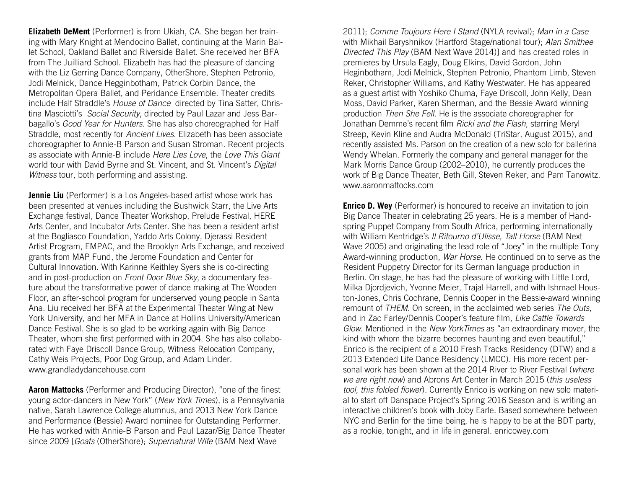**Elizabeth DeMent** (Performer) is from Ukiah, CA. She began her training with Mary Knight at Mendocino Ballet, continuing at the Marin Ballet School, Oakland Ballet and Riverside Ballet. She received her BFA from The Juilliard School. Elizabeth has had the pleasure of dancing with the Liz Gerring Dance Company, OtherShore, Stephen Petronio, Jodi Melnick, Dance Hegginbotham, Patrick Corbin Dance, the Metropolitan Opera Ballet, and Peridance Ensemble. Theater credits include Half Straddle's *House of Dance* directed by Tina Satter, Christina Masciotti's *Social Security*, directed by Paul Lazar and Jess Barbagallo's *Good Year for Hunters*. She has also choreographed for Half Straddle, most recently for *Ancient Lives*. Elizabeth has been associate choreographer to Annie-B Parson and Susan Stroman. Recent projects as associate with Annie-B include *Here Lies Love*, the *Love This Giant* world tour with David Byrne and St. Vincent, and St. Vincent's *Digital Witness* tour, both performing and assisting.

**Jennie Liu** (Performer) is a Los Angeles-based artist whose work has been presented at venues including the Bushwick Starr, the Live Arts Exchange festival, Dance Theater Workshop, Prelude Festival, HERE Arts Center, and Incubator Arts Center. She has been a resident artist at the Bogliasco Foundation, Yaddo Arts Colony, Djerassi Resident Artist Program, EMPAC, and the Brooklyn Arts Exchange, and received grants from MAP Fund, the Jerome Foundation and Center for Cultural Innovation. With Karinne Keithley Syers she is co-directing and in post-production on *Front Door Blue Sky*, a documentary feature about the transformative power of dance making at The Wooden Floor, an after-school program for underserved young people in Santa Ana. Liu received her BFA at the Experimental Theater Wing at New York University, and her MFA in Dance at Hollins University/American Dance Festival. She is so glad to be working again with Big Dance Theater, whom she first performed with in 2004. She has also collaborated with Faye Driscoll Dance Group, Witness Relocation Company, Cathy Weis Projects, Poor Dog Group, and Adam Linder. www.grandladydancehouse.com

**Aaron Mattocks** (Performer and Producing Director), "one of the finest young actor-dancers in New York" (*New York Times*), is a Pennsylvania native, Sarah Lawrence College alumnus, and 2013 New York Dance and Performance (Bessie) Award nominee for Outstanding Performer. He has worked with Annie-B Parson and Paul Lazar/Big Dance Theater since 2009 [*Goats* (OtherShore); *Supernatural Wife* (BAM Next Wave

2011); *Comme Toujours Here I Stand* (NYLA revival); *Man in a Case* with Mikhail Baryshnikov (Hartford Stage/national tour); *Alan Smithee Directed This Play* (BAM Next Wave 2014)] and has created roles in premieres by Ursula Eagly, Doug Elkins, David Gordon, John Heginbotham, Jodi Melnick, Stephen Petronio, Phantom Limb, Steven Reker, Christopher Williams, and Kathy Westwater. He has appeared as a guest artist with Yoshiko Chuma, Faye Driscoll, John Kelly, Dean Moss, David Parker, Karen Sherman, and the Bessie Award winning production *Then She Fell*. He is the associate choreographer for Jonathan Demme's recent film *Ricki and the Flash*, starring Meryl Streep, Kevin Kline and Audra McDonald (TriStar, August 2015), and recently assisted Ms. Parson on the creation of a new solo for ballerina Wendy Whelan. Formerly the company and general manager for the Mark Morris Dance Group (2002–2010), he currently produces the work of Big Dance Theater, Beth Gill, Steven Reker, and Pam Tanowitz. www.aaronmattocks.com

**Enrico D. Wey** (Performer) is honoured to receive an invitation to join Big Dance Theater in celebrating 25 years. He is a member of Handspring Puppet Company from South Africa, performing internationally with William Kentridge's *Il Ritourno d'Ulisse, Tall Horse* (BAM Next Wave 2005) and originating the lead role of "Joey" in the multiple Tony Award-winning production, *War Horse*. He continued on to serve as the Resident Puppetry Director for its German language production in Berlin. On stage, he has had the pleasure of working with Little Lord, Milka Djordjevich, Yvonne Meier, Trajal Harrell, and with Ishmael Houston-Jones, Chris Cochrane, Dennis Cooper in the Bessie-award winning remount of *THEM*. On screen, in the acclaimed web series *The Outs*, and in Zac Farley/Dennis Cooper's feature film, *Like Cattle Towards Glow*. Mentioned in the *New YorkTimes* as "an extraordinary mover, the kind with whom the bizarre becomes haunting and even beautiful," Enrico is the recipient of a 2010 Fresh Tracks Residency (DTW) and a 2013 Extended Life Dance Residency (LMCC). His more recent personal work has been shown at the 2014 River to River Festival (*where we are right now*) and Abrons Art Center in March 2015 (*this useless*  tool, this folded flower). Currently Enrico is working on new solo material to start off Danspace Project's Spring 2016 Season and is writing an interactive children's book with Joby Earle. Based somewhere between NYC and Berlin for the time being, he is happy to be at the BDT party, as a rookie, tonight, and in life in general. enricowey.com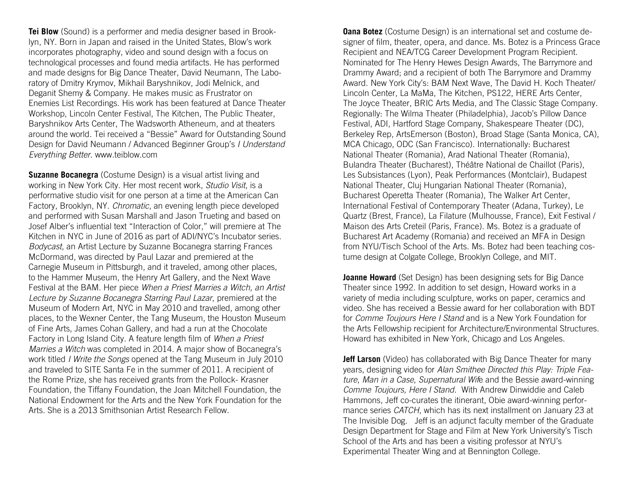**Tei Blow** (Sound) is a performer and media designer based in Brooklyn, NY. Born in Japan and raised in the United States, Blow's work incorporates photography, video and sound design with a focus on technological processes and found media artifacts. He has performed and made designs for Big Dance Theater, David Neumann, The Laboratory of Dmitry Krymov, Mikhail Baryshnikov, Jodi Melnick, and Deganit Shemy & Company. He makes music as Frustrator on Enemies List Recordings. His work has been featured at Dance Theater Workshop, Lincoln Center Festival, The Kitchen, The Public Theater, Baryshnikov Arts Center, The Wadsworth Atheneum, and at theaters around the world. Tei received a "Bessie" Award for Outstanding Sound Design for David Neumann / Advanced Beginner Group's *I Understand Everything Better*. www.teiblow.com

**Suzanne Bocanegra** (Costume Design) is a visual artist living and working in New York City. Her most recent work, *Studio Visit*, is a performative studio visit for one person at a time at the American Can Factory, Brooklyn, NY. *Chromatic*, an evening length piece developed and performed with Susan Marshall and Jason Trueting and based on Josef Alber's influential text "Interaction of Color," will premiere at The Kitchen in NYC in June of 2016 as part of ADI/NYC's Incubator series. *Bodycast*, an Artist Lecture by Suzanne Bocanegra starring Frances McDormand, was directed by Paul Lazar and premiered at the Carnegie Museum in Pittsburgh, and it traveled, among other places, to the Hammer Museum, the Henry Art Gallery, and the Next Wave Festival at the BAM. Her piece *When a Priest Marries a Witch, an Artist Lecture by Suzanne Bocanegra Starring Paul Lazar*, premiered at the Museum of Modern Art, NYC in May 2010 and travelled, among other places, to the Wexner Center, the Tang Museum, the Houston Museum of Fine Arts, James Cohan Gallery, and had a run at the Chocolate Factory in Long Island City. A feature length film of *When a Priest Marries a Witch* was completed in 2014. A major show of Bocanegra's work titled *I Write the Songs* opened at the Tang Museum in July 2010 and traveled to SITE Santa Fe in the summer of 2011. A recipient of the Rome Prize, she has received grants from the Pollock- Krasner Foundation, the Tiffany Foundation, the Joan Mitchell Foundation, the National Endowment for the Arts and the New York Foundation for the Arts. She is a 2013 Smithsonian Artist Research Fellow.

**Oana Botez** (Costume Design) is an international set and costume designer of film, theater, opera, and dance. Ms. Botez is a Princess Grace Recipient and NEA/TCG Career Development Program Recipient. Nominated for The Henry Hewes Design Awards, The Barrymore and Drammy Award; and a recipient of both The Barrymore and Drammy Award. New York City's: BAM Next Wave, The David H. Koch Theater/ Lincoln Center, La MaMa, The Kitchen, PS122, HERE Arts Center, The Joyce Theater, BRIC Arts Media, and The Classic Stage Company. Regionally: The Wilma Theater (Philadelphia), Jacob's Pillow Dance Festival, ADI, Hartford Stage Company, Shakespeare Theater (DC), Berkeley Rep, ArtsEmerson (Boston), Broad Stage (Santa Monica, CA), MCA Chicago, ODC (San Francisco). Internationally: Bucharest National Theater (Romania), Arad National Theater (Romania), Bulandra Theater (Bucharest), Théâtre National de Chaillot (Paris), Les Subsistances (Lyon), Peak Performances (Montclair), Budapest National Theater, Cluj Hungarian National Theater (Romania), Bucharest Operetta Theater (Romania), The Walker Art Center, International Festival of Contemporary Theater (Adana, Turkey), Le Quartz (Brest, France), La Filature (Mulhousse, France), Exit Festival / Maison des Arts Creteil (Paris, France). Ms. Botez is a graduate of Bucharest Art Academy (Romania) and received an MFA in Design from NYU/Tisch School of the Arts. Ms. Botez had been teaching costume design at Colgate College, Brooklyn College, and MIT.

**Joanne Howard** (Set Design) has been designing sets for Big Dance Theater since 1992. In addition to set design, Howard works in a variety of media including sculpture, works on paper, ceramics and video. She has received a Bessie award for her collaboration with BDT for *Comme Toujours Here I Stand* and is a New York Foundation for the Arts Fellowship recipient for Architecture/Environmental Structures. Howard has exhibited in New York, Chicago and Los Angeles.

**Jeff Larson** (Video) has collaborated with Big Dance Theater for many years, designing video for *Alan Smithee Directed this Play: Triple Feature*, *Man in a Case*, *Supernatural Wif*e and the Bessie award-winning *Comme Toujours, Here I Stand*. With Andrew Dinwiddie and Caleb Hammons, Jeff co-curates the itinerant, Obie award-winning performance series *CATCH*, which has its next installment on January 23 at The Invisible Dog. Jeff is an adjunct faculty member of the Graduate Design Department for Stage and Film at New York University's Tisch School of the Arts and has been a visiting professor at NYU's Experimental Theater Wing and at Bennington College.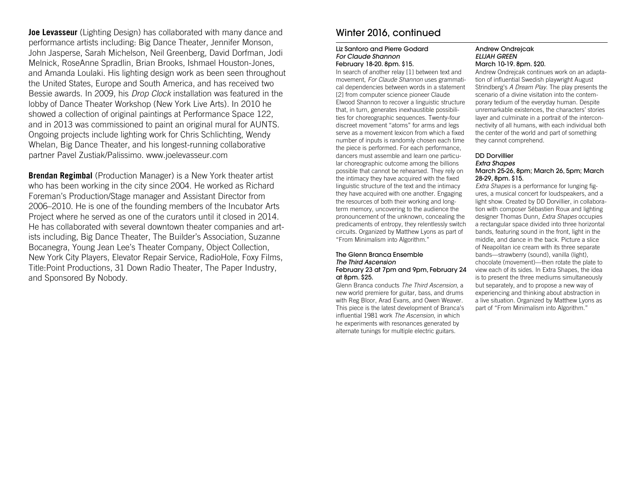**Joe Levasseur** (Lighting Design) has collaborated with many dance and performance artists including: Big Dance Theater, Jennifer Monson, John Jasperse, Sarah Michelson, Neil Greenberg, David Dorfman, Jodi Melnick, RoseAnne Spradlin, Brian Brooks, Ishmael Houston-Jones, and Amanda Loulaki. His lighting design work as been seen throughout the United States, Europe and South America, and has received two Bessie awards. In 2009, his *Drop Clock* installation was featured in the lobby of Dance Theater Workshop (New York Live Arts). In 2010 he showed a collection of original paintings at Performance Space 122, and in 2013 was commissioned to paint an original mural for AUNTS. Ongoing projects include lighting work for Chris Schlichting, Wendy Whelan, Big Dance Theater, and his longest-running collaborative partner Pavel Zustiak/Palissimo. www.joelevasseur.com

**Brendan Regimbal** (Production Manager) is a New York theater artist who has been working in the city since 2004. He worked as Richard Foreman's Production/Stage manager and Assistant Director from 2006–2010. He is one of the founding members of the Incubator Arts Project where he served as one of the curators until it closed in 2014. He has collaborated with several downtown theater companies and artists including, Big Dance Theater, The Builder's Association, Suzanne Bocanegra, Young Jean Lee's Theater Company, Object Collection, New York City Players, Elevator Repair Service, RadioHole, Foxy Films, Title:Point Productions, 31 Down Radio Theater, The Paper Industry, and Sponsored By Nobody.

# Winter 2016, continued

### Liz Santoro and Pierre Godard *For Claude Shannon* February 18-20. 8pm. \$15.

In search of another relay [1] between text and movement, *For Claude Shannon* uses grammatical dependencies between words in a statement [2] from computer science pioneer Claude Elwood Shannon to recover a linguistic structure that, in turn, generates inexhaustible possibilities for choreographic sequences. Twenty-four discreet movement "atoms" for arms and legs serve as a movement lexicon from which a fixed number of inputs is randomly chosen each time the piece is performed. For each performance, dancers must assemble and learn one particular choreographic outcome among the billions possible that cannot be rehearsed. They rely on the intimacy they have acquired with the fixed linguistic structure of the text and the intimacy they have acquired with one another. Engaging the resources of both their working and longterm memory, uncovering to the audience the pronouncement of the unknown, concealing the predicaments of entropy, they relentlessly switch circuits. Organized by Matthew Lyons as part of "From Minimalism into Algorithm."

### The Glenn Branca Ensemble *The Third Ascension* February 23 at 7pm and 9pm, February 24 at 8pm. \$25.

Glenn Branca conducts *The Third Ascension*, a new world premiere for guitar, bass, and drums with Reg Bloor, Arad Evans, and Owen Weaver. This piece is the latest development of Branca's influential 1981 work *The Ascension*, in which he experiments with resonances generated by alternate tunings for multiple electric guitars.

### Andrew Ondrejcak *ELIJAH GREEN* March 10-19. 8pm. \$20.

Andrew Ondrejcak continues work on an adaptation of influential Swedish playwright August Strindberg's *A Dream Play*. The play presents the scenario of a divine visitation into the contemporary tedium of the everyday human. Despite unremarkable existences, the characters' stories layer and culminate in a portrait of the interconnectivity of all humans, with each individual both the center of the world and part of something they cannot comprehend.

### DD Dorvillier

### *Extra Shapes*

### March 25-26, 8pm; March 26, 5pm; March 28-29, 8pm. \$15.

*Extra Shapes* is a performance for lunging figures, a musical concert for loudspeakers, and a light show. Created by DD Dorvillier, in collaboration with composer Sébastien Roux and lighting designer Thomas Dunn, *Extra Shapes* occupies a rectangular space divided into three horizontal bands, featuring sound in the front, light in the middle, and dance in the back. Picture a slice of Neapolitan ice cream with its three separate bands—strawberry (sound), vanilla (light), chocolate (movement)—then rotate the plate to view each of its sides. In Extra Shapes, the idea is to present the three mediums simultaneously but separately, and to propose a new way of experiencing and thinking about abstraction in a live situation. Organized by Matthew Lyons as part of "From Minimalism into Algorithm."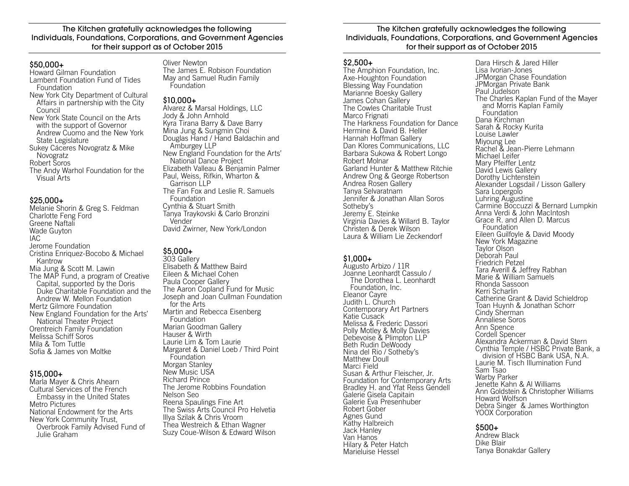The Kitchen gratefully acknowledges the following Individuals, Foundations, Corporations, and Government Agencies for their support as of October 2015

### $$50.000+$

Howard Gilman Foundation Lambent Foundation Fund of Tides Foundation New York City Department of Cultural Affairs in partnership with the City Council New York State Council on the Arts with the support of Governor Andrew Cuomo and the New York State Legislature Sukey Cáceres Novogratz & Mike Novogratz Robert Soros The Andy Warhol Foundation for the Visual Arts

### $$25.000+$

Melanie Shorin & Greg S. Feldman Charlotte Feng Ford Greene Naftali Wade Guyton IAC Jerome Foundation Cristina Enriquez-Bocobo & Michael Kantrow Mia Jung & Scott M. Lawin The MAP Fund, a program of Creative Capital, supported by the Doris Duke Charitable Foundation and the Andrew W. Mellon Foundation Mertz Gilmore Foundation New England Foundation for the Arts' National Theater Project Orentreich Family Foundation Melissa Schiff Soros Mila & Tom Tuttle Sofia & James von Moltke

### \$15,000+

Marla Mayer & Chris Ahearn Cultural Services of the French Embassy in the United States Metro Pictures National Endowment for the Arts New York Community Trust, Overbrook Family Advised Fund of Julie Graham

### Oliver Newton

The James E. Robison Foundation May and Samuel Rudin Family Foundation

### \$10,000+

Alvarez & Marsal Holdings, LLC Jody & John Arnhold Kyra Tirana Barry & Dave Barry Mina Jung & Sungmin Choi Douglas Hand / Hand Baldachin and Amburgey LLP New England Foundation for the Arts' National Dance Project Elizabeth Valleau & Benjamin Palmer Paul, Weiss, Rifkin, Wharton & Garrison LLP The Fan Fox and Leslie R. Samuels Foundation Cynthia & Stuart Smith Tanya Traykovski & Carlo Bronzini Vender David Zwirner, New York/London

# \$5,000+

303 Gallery Elisabeth & Matthew Baird Eileen & Michael Cohen Paula Cooper Gallery The Aaron Copland Fund for Music Joseph and Joan Cullman Foundation for the Arts Martin and Rebecca Eisenberg **Foundation** Marian Goodman Gallery Hauser & Wirth Laurie Lim & Tom Laurie Margaret & Daniel Loeb / Third Point Foundation Morgan Stanley New Music USA Richard Prince The Jerome Robbins Foundation Nelson Seo Reena Spaulings Fine Art The Swiss Arts Council Pro Helvetia Illya Szilak & Chris Vroom Thea Westreich & Ethan Wagner Suzy Coue-Wilson & Edward Wilson

### The Kitchen gratefully acknowledges the following Individuals, Foundations, Corporations, and Government Agencies for their support as of October 2015

### $$2.500+$

The Amphion Foundation, Inc. Axe-Houghton Foundation Blessing Way Foundation Marianne Boesky Gallery James Cohan Gallery The Cowles Charitable Trust Marco Frignati The Harkness Foundation for Dance Hermine & David B. Heller Hannah Hoffman Gallery Dan Klores Communications, LLC Barbara Sukowa & Robert Longo Robert Molnar Garland Hunter & Matthew Ritchie Andrew Ong & George Robertson Andrea Rosen Gallery Tanya Selvaratnam Jennifer & Jonathan Allan Soros Sotheby's Jeremy E. Steinke Virginia Davies & Willard B. Taylor Christen & Derek Wilson Laura & William Lie Zeckendorf

### \$1,000+

Augusto Arbizo / 11R Joanne Leonhardt Cassulo / The Dorothea L. Leonhardt Foundation, Inc. Eleanor Cayre Judith L. Church Contemporary Art Partners Katie Cusack Melissa & Frederic Dassori Polly Motley & Molly Davies Debevoise & Plimpton LLP Beth Rudin DeWoody Nina del Rio / Sotheby's Matthew Doull Marci Field Susan & Arthur Fleischer, Jr. Foundation for Contemporary Arts Bradley H. and Yfat Reiss Gendell Galerie Gisela Capitain Galerie Eva Presenhuber Robert Gober Agnes Gund Kathy Halbreich Jack Hanley Van Hanos Hilary & Peter Hatch Marieluise Hessel

Dara Hirsch & Jared Hiller Lisa Ivorian-Jones JPMorgan Chase Foundation JPMorgan Private Bank Paul Judelson The Charles Kaplan Fund of the Mayer and Morris Kaplan Family Foundation Dana Kirchman Sarah & Rocky Kurita Louise Lawler Miyoung Lee Rachel & Jean-Pierre Lehmann Michael Leifer Mary Pfeiffer Lentz David Lewis Gallery Dorothy Lichtenstein Alexander Logsdail / Lisson Gallery Sara Lopergolo Luhring Augustine Carmine Boccuzzi & Bernard Lumpkin Anna Verdi & John MacIntosh Grace R. and Allen D. Marcus Foundation Eileen Guilfoyle & David Moody New York Magazine Taylor Olson Deborah Paul Friedrich Petzel Tara Averill & Jeffrey Rabhan Marie & William Samuels Rhonda Sassoon Kerri Scharlin Catherine Grant & David Schieldrop Toan Huynh & Jonathan Schorr Cindy Sherman Annaliese Soros Ann Spence Cordell Spencer Alexandra Ackerman & David Stern Cynthia Temple / HSBC Private Bank, a division of HSBC Bank USA, N.A. Laurie M. Tisch Illumination Fund Sam Tsao Warby Parker Jenette Kahn & Al Williams Ann Goldstein & Christopher Williams Howard Wolfson Debra Singer & James Worthington YOOX Corporation

### \$500+

Andrew Black Dike Blair Tanya Bonakdar Gallery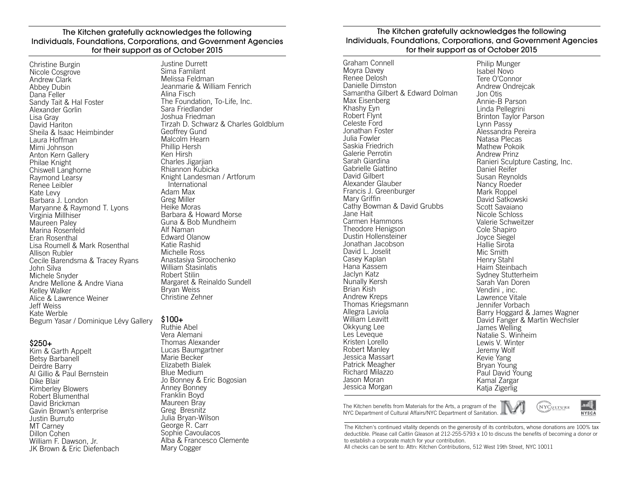### The Kitchen gratefully acknowledges the following Individuals, Foundations, Corporations, and Government Agencies for their support as of October 2015

Christine Burgin Nicole Cosgrove Andrew Clark Abbey Dubin Dana Feller Sandy Tait & Hal Foster Alexander Gorlin Lisa Gray David Hariton Sheila & Isaac Heimbinder Laura Hoffman Mimi Johnson Anton Kern Gallery Philae Knight Chiswell Langhorne Raymond Learsy Renee Leibler Kate Levy Barbara J. London Maryanne & Raymond T. Lyons Virginia Millhiser Maureen Paley Marina Rosenfeld Eran Rosenthal Lisa Roumell & Mark Rosenthal Allison Rubler Cecile Barendsma & Tracey Ryans John Silva Michele Snyder Andre Mellone & Andre Viana Kelley Walker Alice & Lawrence Weiner Jeff Weiss Kate Werble Begum Yasar / Dominique Lévy Gallery

### \$250+

Kim & Garth Appelt Betsy Barbanell Deirdre Barry Al Gillio & Paul Bernstein Dike Blair Kimberley Blowers Robert Blumenthal David Brickman Gavin Brown's enterprise Justin Burruto MT Carney Dillon Cohen William F. Dawson, Jr. JK Brown & Eric Diefenbach Justine Durrett Sima Familant Melissa Feldman Jeanmarie & William Fenrich Alina Fisch The Foundation, To-Life, Inc. Sara Friedlander Joshua Friedman Tirzah D. Schwarz & Charles Goldblum Geoffrey Gund Malcolm Hearn Phillip Hersh Ken Hirsh Charles Jigarijan Rhiannon Kubicka Knight Landesman / Artforum International Adam Max Greg Miller Heike Moras Barbara & Howard Morse Guna & Bob Mundheim Alf Naman Edward Olanow Katie Rashid Michelle Ross Anastasiya Siroochenko William Stasinlatis Robert Stilin Margaret & Reinaldo Sundell Bryan Weiss Christine Zehner

### \$100+

Ruthie Abel Vera Alemani Thomas Alexander Lucas Baumgartner Marie Becker Elizabeth Bialek Blue Medium Jo Bonney & Eric Bogosian Anney Bonney Franklin Boyd Maureen Bray Greg Bresnitz Julia Bryan-Wilson George R. Carr Sophie Cavoulacos Alba & Francesco Clemente Mary Cogger

### The Kitchen gratefully acknowledges the following Individuals, Foundations, Corporations, and Government Agencies for their support as of October 2015

Graham Connell Moyra Davey Renee Delosh Danielle Dimston Samantha Gilbert & Edward Dolman Max Eisenberg Khashy Eyn Robert Flynt Celeste Ford Jonathan Foster Julia Fowler Saskia Friedrich Galerie Perrotin Sarah Giardina Gabrielle Giattino David Gilbert Alexander Glauber Francis J. Greenburger Mary Griffin Cathy Bowman & David Grubbs Jane Hait Carmen Hammons Theodore Henigson Dustin Hollensteiner Jonathan Jacobson David L. Joselit Casey Kaplan Hana Kassem Jaclyn Katz Nunally Kersh Brian Kish Andrew Kreps Thomas Kriegsmann Allegra Laviola William Leavitt Okkyung Lee Les Leveque Kristen Lorello Robert Manley Jessica Massart Patrick Meagher Richard Milazzo Jason Moran Jessica Morgan

Philip Munger Isabel Novo Tere O'Connor Andrew Ondrejcak Jon Otis Annie-B Parson Linda Pellegrini Brinton Taylor Parson Lynn Passy Alessandra Pereira Natasa Plecas Mathew Pokoik Andrew Prinz Ranieri Sculpture Casting, Inc. Daniel Reifer Susan Reynolds Nancy Roeder Mark Roppel David Satkowski Scott Savaiano Nicole Schloss Valerie Schweitzer Cole Shapiro Joyce Siegel Hallie Sirota Mic Smith Henry Stahl Haim Steinbach Sydney Stutterheim Sarah Van Doren Vendini , inc. Lawrence Vitale Jennifer Vorbach Barry Hoggard & James Wagner David Fanger & Martin Wechsler James Welling Natalie S. Winheim Lewis V. Winter Jeremy Wolf Kevie Yang Bryan Young Paul David Young Kamal Zargar Katia Zigerlig

The Kitchen benefits from Materials for the Arts, a program of the NYCULTURE NYC Department of Cultural Affairs/NYC Department of Sanitation.



The Kitchen's continued vitality depends on the generosity of its contributors, whose donations are 100% tax deductible. Please call Caitlin Gleason at 212-255-5793 x 10 to discuss the benefits of becoming a donor or to establish a corporate match for your contribution.

All checks can be sent to: Attn: Kitchen Contributions, 512 West 19th Street, NYC 10011